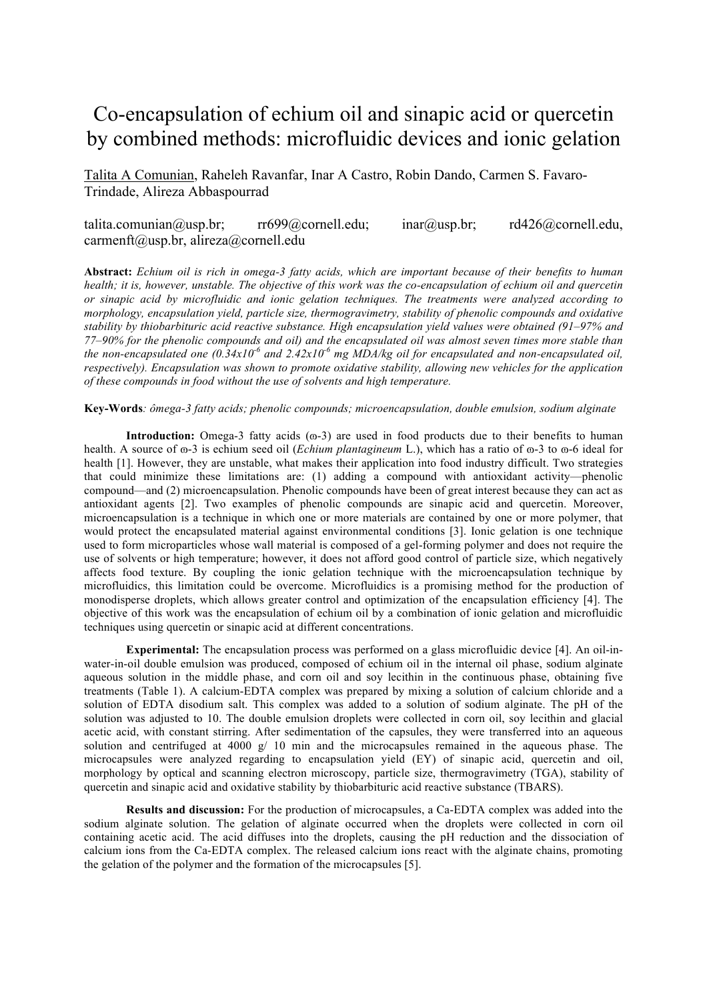## Co-encapsulation of echium oil and sinapic acid or quercetin by combined methods: microfluidic devices and ionic gelation

Talita A Comunian, Raheleh Ravanfar, Inar A Castro, Robin Dando, Carmen S. Favaro-Trindade, Alireza Abbaspourrad

## talita.comunian@usp.br; rr699@cornell.edu; inar@usp.br; rd426@cornell.edu, carmenft@usp.br, alireza@cornell.edu

**Abstract:** *Echium oil is rich in omega-3 fatty acids, which are important because of their benefits to human health; it is, however, unstable. The objective of this work was the co-encapsulation of echium oil and quercetin or sinapic acid by microfluidic and ionic gelation techniques. The treatments were analyzed according to morphology, encapsulation yield, particle size, thermogravimetry, stability of phenolic compounds and oxidative stability by thiobarbituric acid reactive substance. High encapsulation yield values were obtained (91–97% and 77–90% for the phenolic compounds and oil) and the encapsulated oil was almost seven times more stable than*  the non-encapsulated one  $(0.34x10^6$  and  $2.42x10^6$  mg MDA/kg oil for encapsulated and non-encapsulated oil, *respectively). Encapsulation was shown to promote oxidative stability, allowing new vehicles for the application of these compounds in food without the use of solvents and high temperature.*

## **Key-Words***: ômega-3 fatty acids; phenolic compounds; microencapsulation, double emulsion, sodium alginate*

**Introduction:** Omega-3 fatty acids  $(\omega - 3)$  are used in food products due to their benefits to human health. A source of  $\omega$ -3 is echium seed oil *(Echium plantagineum* L.), which has a ratio of  $\omega$ -3 to  $\omega$ -6 ideal for health [1]. However, they are unstable, what makes their application into food industry difficult. Two strategies that could minimize these limitations are: (1) adding a compound with antioxidant activity—phenolic compound—and (2) microencapsulation. Phenolic compounds have been of great interest because they can act as antioxidant agents [2]. Two examples of phenolic compounds are sinapic acid and quercetin. Moreover, microencapsulation is a technique in which one or more materials are contained by one or more polymer, that would protect the encapsulated material against environmental conditions [3]. Ionic gelation is one technique used to form microparticles whose wall material is composed of a gel-forming polymer and does not require the use of solvents or high temperature; however, it does not afford good control of particle size, which negatively affects food texture. By coupling the ionic gelation technique with the microencapsulation technique by microfluidics, this limitation could be overcome. Microfluidics is a promising method for the production of monodisperse droplets, which allows greater control and optimization of the encapsulation efficiency [4]. The objective of this work was the encapsulation of echium oil by a combination of ionic gelation and microfluidic techniques using quercetin or sinapic acid at different concentrations.

**Experimental:** The encapsulation process was performed on a glass microfluidic device [4]. An oil-inwater-in-oil double emulsion was produced, composed of echium oil in the internal oil phase, sodium alginate aqueous solution in the middle phase, and corn oil and soy lecithin in the continuous phase, obtaining five treatments (Table 1). A calcium-EDTA complex was prepared by mixing a solution of calcium chloride and a solution of EDTA disodium salt. This complex was added to a solution of sodium alginate. The pH of the solution was adjusted to 10. The double emulsion droplets were collected in corn oil, soy lecithin and glacial acetic acid, with constant stirring. After sedimentation of the capsules, they were transferred into an aqueous solution and centrifuged at 4000 g/ 10 min and the microcapsules remained in the aqueous phase. The microcapsules were analyzed regarding to encapsulation yield (EY) of sinapic acid, quercetin and oil, morphology by optical and scanning electron microscopy, particle size, thermogravimetry (TGA), stability of quercetin and sinapic acid and oxidative stability by thiobarbituric acid reactive substance (TBARS).

**Results and discussion:** For the production of microcapsules, a Ca-EDTA complex was added into the sodium alginate solution. The gelation of alginate occurred when the droplets were collected in corn oil containing acetic acid. The acid diffuses into the droplets, causing the pH reduction and the dissociation of calcium ions from the Ca-EDTA complex. The released calcium ions react with the alginate chains, promoting the gelation of the polymer and the formation of the microcapsules [5].